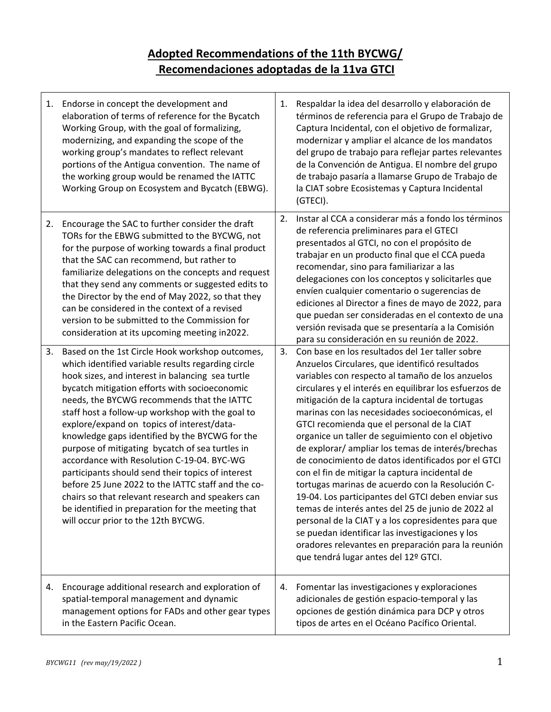## **Adopted Recommendations of the 11th BYCWG/ Recomendaciones adoptadas de la 11va GTCI**

| 1. | Endorse in concept the development and<br>elaboration of terms of reference for the Bycatch<br>Working Group, with the goal of formalizing,<br>modernizing, and expanding the scope of the<br>working group's mandates to reflect relevant<br>portions of the Antigua convention. The name of<br>the working group would be renamed the IATTC<br>Working Group on Ecosystem and Bycatch (EBWG).                                                                                                                                                                                                                                                                                                                                                                           | 1. | Respaldar la idea del desarrollo y elaboración de<br>términos de referencia para el Grupo de Trabajo de<br>Captura Incidental, con el objetivo de formalizar,<br>modernizar y ampliar el alcance de los mandatos<br>del grupo de trabajo para reflejar partes relevantes<br>de la Convención de Antigua. El nombre del grupo<br>de trabajo pasaría a llamarse Grupo de Trabajo de<br>la CIAT sobre Ecosistemas y Captura Incidental<br>(GTECI).                                                                                                                                                                                                                                                                                                                                                                                                                                                                                                             |
|----|---------------------------------------------------------------------------------------------------------------------------------------------------------------------------------------------------------------------------------------------------------------------------------------------------------------------------------------------------------------------------------------------------------------------------------------------------------------------------------------------------------------------------------------------------------------------------------------------------------------------------------------------------------------------------------------------------------------------------------------------------------------------------|----|-------------------------------------------------------------------------------------------------------------------------------------------------------------------------------------------------------------------------------------------------------------------------------------------------------------------------------------------------------------------------------------------------------------------------------------------------------------------------------------------------------------------------------------------------------------------------------------------------------------------------------------------------------------------------------------------------------------------------------------------------------------------------------------------------------------------------------------------------------------------------------------------------------------------------------------------------------------|
| 2. | Encourage the SAC to further consider the draft<br>TORs for the EBWG submitted to the BYCWG, not<br>for the purpose of working towards a final product<br>that the SAC can recommend, but rather to<br>familiarize delegations on the concepts and request<br>that they send any comments or suggested edits to<br>the Director by the end of May 2022, so that they<br>can be considered in the context of a revised<br>version to be submitted to the Commission for<br>consideration at its upcoming meeting in2022.                                                                                                                                                                                                                                                   | 2. | Instar al CCA a considerar más a fondo los términos<br>de referencia preliminares para el GTECI<br>presentados al GTCI, no con el propósito de<br>trabajar en un producto final que el CCA pueda<br>recomendar, sino para familiarizar a las<br>delegaciones con los conceptos y solicitarles que<br>envíen cualquier comentario o sugerencias de<br>ediciones al Director a fines de mayo de 2022, para<br>que puedan ser consideradas en el contexto de una<br>versión revisada que se presentaría a la Comisión<br>para su consideración en su reunión de 2022.                                                                                                                                                                                                                                                                                                                                                                                          |
| 3. | Based on the 1st Circle Hook workshop outcomes,<br>which identified variable results regarding circle<br>hook sizes, and interest in balancing sea turtle<br>bycatch mitigation efforts with socioeconomic<br>needs, the BYCWG recommends that the IATTC<br>staff host a follow-up workshop with the goal to<br>explore/expand on topics of interest/data-<br>knowledge gaps identified by the BYCWG for the<br>purpose of mitigating bycatch of sea turtles in<br>accordance with Resolution C-19-04. BYC-WG<br>participants should send their topics of interest<br>before 25 June 2022 to the IATTC staff and the co-<br>chairs so that relevant research and speakers can<br>be identified in preparation for the meeting that<br>will occur prior to the 12th BYCWG. | 3. | Con base en los resultados del 1er taller sobre<br>Anzuelos Circulares, que identificó resultados<br>variables con respecto al tamaño de los anzuelos<br>circulares y el interés en equilibrar los esfuerzos de<br>mitigación de la captura incidental de tortugas<br>marinas con las necesidades socioeconómicas, el<br>GTCI recomienda que el personal de la CIAT<br>organice un taller de seguimiento con el objetivo<br>de explorar/ ampliar los temas de interés/brechas<br>de conocimiento de datos identificados por el GTCI<br>con el fin de mitigar la captura incidental de<br>tortugas marinas de acuerdo con la Resolución C-<br>19-04. Los participantes del GTCI deben enviar sus<br>temas de interés antes del 25 de junio de 2022 al<br>personal de la CIAT y a los copresidentes para que<br>se puedan identificar las investigaciones y los<br>oradores relevantes en preparación para la reunión<br>que tendrá lugar antes del 12º GTCI. |
| 4. | Encourage additional research and exploration of<br>spatial-temporal management and dynamic<br>management options for FADs and other gear types<br>in the Eastern Pacific Ocean.                                                                                                                                                                                                                                                                                                                                                                                                                                                                                                                                                                                          | 4. | Fomentar las investigaciones y exploraciones<br>adicionales de gestión espacio-temporal y las<br>opciones de gestión dinámica para DCP y otros<br>tipos de artes en el Océano Pacífico Oriental.                                                                                                                                                                                                                                                                                                                                                                                                                                                                                                                                                                                                                                                                                                                                                            |